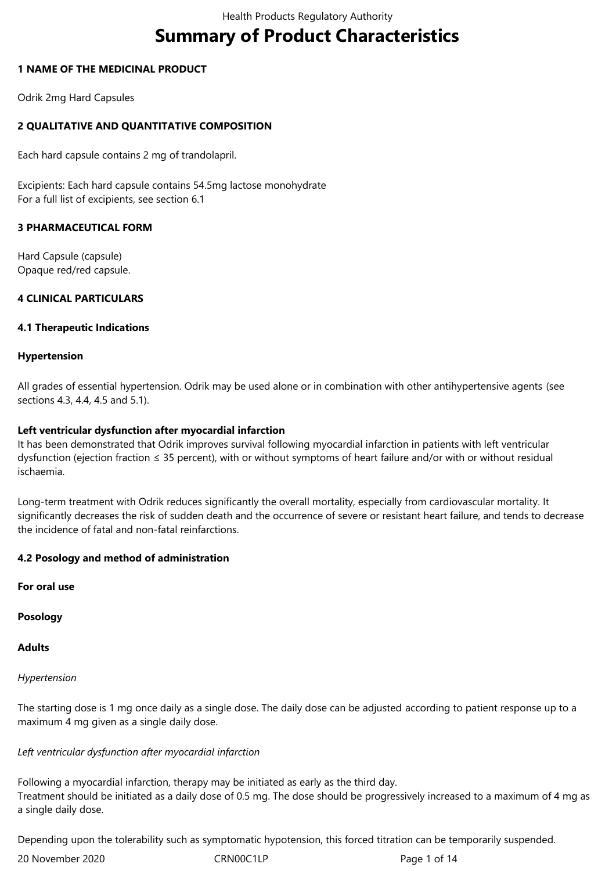# **Summary of Product Characteristics**

## **1 NAME OF THE MEDICINAL PRODUCT**

Odrik 2mg Hard Capsules

# **2 QUALITATIVE AND QUANTITATIVE COMPOSITION**

Each hard capsule contains 2 mg of trandolapril.

Excipients: Each hard capsule contains 54.5mg lactose monohydrate For a full list of excipients, see section 6.1

# **3 PHARMACEUTICAL FORM**

Hard Capsule (capsule) Opaque red/red capsule.

# **4 CLINICAL PARTICULARS**

#### **4.1 Therapeutic Indications**

#### **Hypertension**

All grades of essential hypertension. Odrik may be used alone or in combination with other antihypertensive agents (see sections 4.3, 4.4, 4.5 and 5.1).

## **Left ventricular dysfunction after myocardial infarction**

It has been demonstrated that Odrik improves survival following myocardial infarction in patients with left ventricular dysfunction (ejection fraction ≤ 35 percent), with or without symptoms of heart failure and/or with or without residual ischaemia.

Long-term treatment with Odrik reduces significantly the overall mortality, especially from cardiovascular mortality. It significantly decreases the risk of sudden death and the occurrence of severe or resistant heart failure, and tends to decrease the incidence of fatal and non-fatal reinfarctions.

#### **4.2 Posology and method of administration**

**For oral use**

**Posology**

**Adults**

#### *Hypertension*

The starting dose is 1 mg once daily as a single dose. The daily dose can be adjusted according to patient response up to a maximum 4 mg given as a single daily dose.

#### *Left ventricular dysfunction after myocardial infarction*

Following a myocardial infarction, therapy may be initiated as early as the third day. Treatment should be initiated as a daily dose of 0.5 mg. The dose should be progressively increased to a maximum of 4 mg as a single daily dose.

Depending upon the tolerability such as symptomatic hypotension, this forced titration can be temporarily suspended.

20 November 2020 **CRNOOC1LP** Page 1 of 14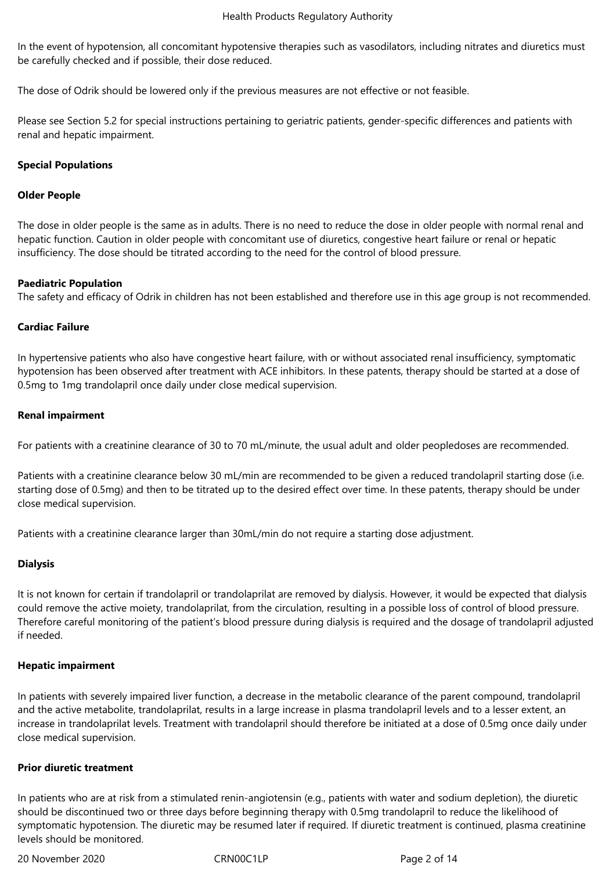In the event of hypotension, all concomitant hypotensive therapies such as vasodilators, including nitrates and diuretics must be carefully checked and if possible, their dose reduced.

The dose of Odrik should be lowered only if the previous measures are not effective or not feasible.

Please see Section 5.2 for special instructions pertaining to geriatric patients, gender-specific differences and patients with renal and hepatic impairment.

## **Special Populations**

## **Older People**

The dose in older people is the same as in adults. There is no need to reduce the dose in older people with normal renal and hepatic function. Caution in older people with concomitant use of diuretics, congestive heart failure or renal or hepatic insufficiency. The dose should be titrated according to the need for the control of blood pressure.

# **Paediatric Population**

The safety and efficacy of Odrik in children has not been established and therefore use in this age group is not recommended.

# **Cardiac Failure**

In hypertensive patients who also have congestive heart failure, with or without associated renal insufficiency, symptomatic hypotension has been observed after treatment with ACE inhibitors. In these patents, therapy should be started at a dose of 0.5mg to 1mg trandolapril once daily under close medical supervision.

# **Renal impairment**

For patients with a creatinine clearance of 30 to 70 mL/minute, the usual adult and older peopledoses are recommended.

Patients with a creatinine clearance below 30 mL/min are recommended to be given a reduced trandolapril starting dose (i.e. starting dose of 0.5mg) and then to be titrated up to the desired effect over time. In these patents, therapy should be under close medical supervision.

Patients with a creatinine clearance larger than 30mL/min do not require a starting dose adjustment.

# **Dialysis**

It is not known for certain if trandolapril or trandolaprilat are removed by dialysis. However, it would be expected that dialysis could remove the active moiety, trandolaprilat, from the circulation, resulting in a possible loss of control of blood pressure. Therefore careful monitoring of the patient's blood pressure during dialysis is required and the dosage of trandolapril adjusted if needed.

# **Hepatic impairment**

In patients with severely impaired liver function, a decrease in the metabolic clearance of the parent compound, trandolapril and the active metabolite, trandolaprilat, results in a large increase in plasma trandolapril levels and to a lesser extent, an increase in trandolaprilat levels. Treatment with trandolapril should therefore be initiated at a dose of 0.5mg once daily under close medical supervision.

#### **Prior diuretic treatment**

In patients who are at risk from a stimulated renin-angiotensin (e.g., patients with water and sodium depletion), the diuretic should be discontinued two or three days before beginning therapy with 0.5mg trandolapril to reduce the likelihood of symptomatic hypotension. The diuretic may be resumed later if required. If diuretic treatment is continued, plasma creatinine levels should be monitored.

20 November 2020 **CRNOOC1LP** Page 2 of 14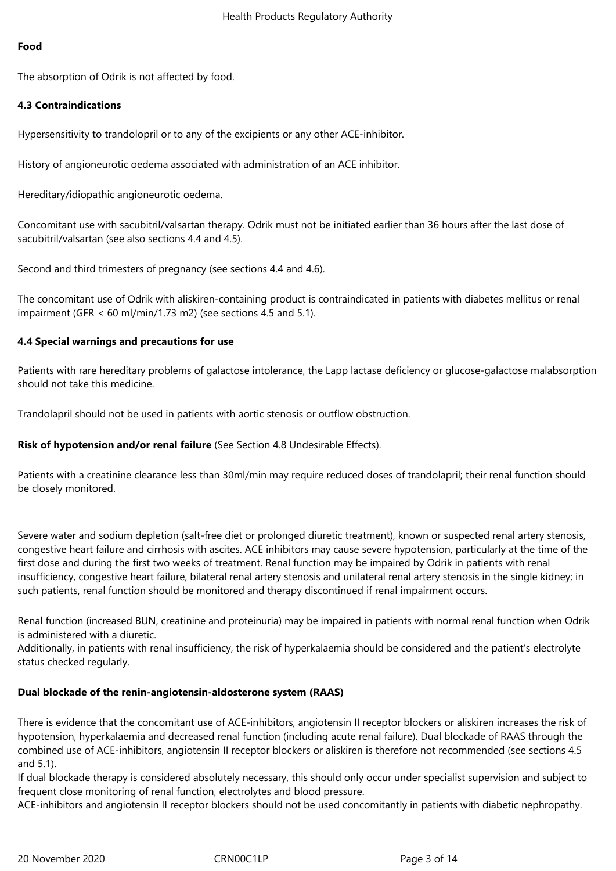#### **Food**

The absorption of Odrik is not affected by food.

#### **4.3 Contraindications**

Hypersensitivity to trandolopril or to any of the excipients or any other ACE-inhibitor.

History of angioneurotic oedema associated with administration of an ACE inhibitor.

Hereditary/idiopathic angioneurotic oedema.

Concomitant use with sacubitril/valsartan therapy. Odrik must not be initiated earlier than 36 hours after the last dose of sacubitril/valsartan (see also sections 4.4 and 4.5).

Second and third trimesters of pregnancy (see sections 4.4 and 4.6).

The concomitant use of Odrik with aliskiren-containing product is contraindicated in patients with diabetes mellitus or renal impairment (GFR < 60 ml/min/1.73 m2) (see sections 4.5 and 5.1).

#### **4.4 Special warnings and precautions for use**

Patients with rare hereditary problems of galactose intolerance, the Lapp lactase deficiency or glucose-galactose malabsorption should not take this medicine.

Trandolapril should not be used in patients with aortic stenosis or outflow obstruction.

**Risk of hypotension and/or renal failure** (See Section 4.8 Undesirable Effects).

Patients with a creatinine clearance less than 30ml/min may require reduced doses of trandolapril; their renal function should be closely monitored.

Severe water and sodium depletion (salt-free diet or prolonged diuretic treatment), known or suspected renal artery stenosis, congestive heart failure and cirrhosis with ascites. ACE inhibitors may cause severe hypotension, particularly at the time of the first dose and during the first two weeks of treatment. Renal function may be impaired by Odrik in patients with renal insufficiency, congestive heart failure, bilateral renal artery stenosis and unilateral renal artery stenosis in the single kidney; in such patients, renal function should be monitored and therapy discontinued if renal impairment occurs.

Renal function (increased BUN, creatinine and proteinuria) may be impaired in patients with normal renal function when Odrik is administered with a diuretic.

Additionally, in patients with renal insufficiency, the risk of hyperkalaemia should be considered and the patient's electrolyte status checked regularly.

#### **Dual blockade of the renin-angiotensin-aldosterone system (RAAS)**

There is evidence that the concomitant use of ACE-inhibitors, angiotensin II receptor blockers or aliskiren increases the risk of hypotension, hyperkalaemia and decreased renal function (including acute renal failure). Dual blockade of RAAS through the combined use of ACE-inhibitors, angiotensin II receptor blockers or aliskiren is therefore not recommended (see sections 4.5 and 5.1).

If dual blockade therapy is considered absolutely necessary, this should only occur under specialist supervision and subject to frequent close monitoring of renal function, electrolytes and blood pressure.

ACE-inhibitors and angiotensin II receptor blockers should not be used concomitantly in patients with diabetic nephropathy.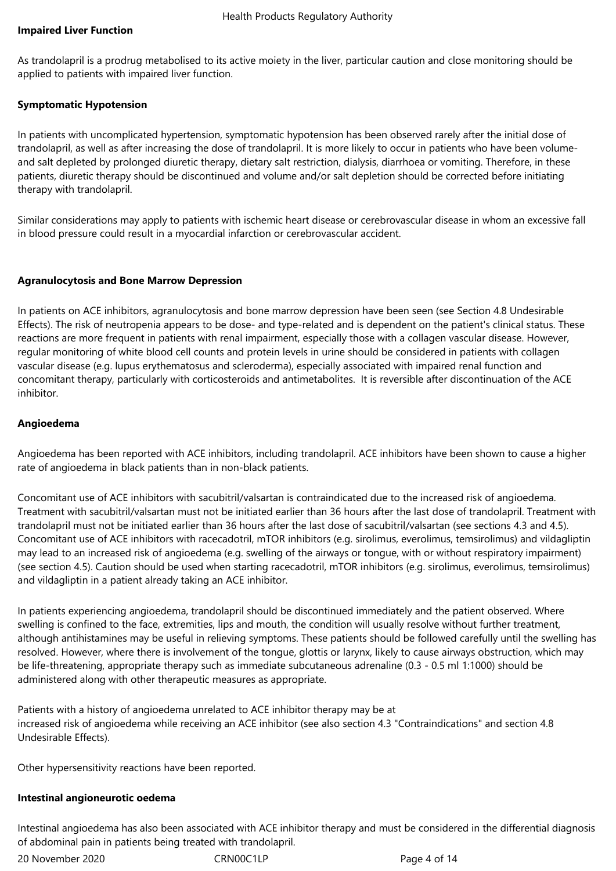# **Impaired Liver Function**

As trandolapril is a prodrug metabolised to its active moiety in the liver, particular caution and close monitoring should be applied to patients with impaired liver function.

# **Symptomatic Hypotension**

In patients with uncomplicated hypertension, symptomatic hypotension has been observed rarely after the initial dose of trandolapril, as well as after increasing the dose of trandolapril. It is more likely to occur in patients who have been volumeand salt depleted by prolonged diuretic therapy, dietary salt restriction, dialysis, diarrhoea or vomiting. Therefore, in these patients, diuretic therapy should be discontinued and volume and/or salt depletion should be corrected before initiating therapy with trandolapril.

Similar considerations may apply to patients with ischemic heart disease or cerebrovascular disease in whom an excessive fall in blood pressure could result in a myocardial infarction or cerebrovascular accident.

# **Agranulocytosis and Bone Marrow Depression**

In patients on ACE inhibitors, agranulocytosis and bone marrow depression have been seen (see Section 4.8 Undesirable Effects). The risk of neutropenia appears to be dose- and type-related and is dependent on the patient's clinical status. These reactions are more frequent in patients with renal impairment, especially those with a collagen vascular disease. However, regular monitoring of white blood cell counts and protein levels in urine should be considered in patients with collagen vascular disease (e.g. lupus erythematosus and scleroderma), especially associated with impaired renal function and concomitant therapy, particularly with corticosteroids and antimetabolites. It is reversible after discontinuation of the ACE inhibitor.

# **Angioedema**

Angioedema has been reported with ACE inhibitors, including trandolapril. ACE inhibitors have been shown to cause a higher rate of angioedema in black patients than in non-black patients.

Concomitant use of ACE inhibitors with sacubitril/valsartan is contraindicated due to the increased risk of angioedema. Treatment with sacubitril/valsartan must not be initiated earlier than 36 hours after the last dose of trandolapril. Treatment with trandolapril must not be initiated earlier than 36 hours after the last dose of sacubitril/valsartan (see sections 4.3 and 4.5). Concomitant use of ACE inhibitors with racecadotril, mTOR inhibitors (e.g. sirolimus, everolimus, temsirolimus) and vildagliptin may lead to an increased risk of angioedema (e.g. swelling of the airways or tongue, with or without respiratory impairment) (see section 4.5). Caution should be used when starting racecadotril, mTOR inhibitors (e.g. sirolimus, everolimus, temsirolimus) and vildagliptin in a patient already taking an ACE inhibitor.

In patients experiencing angioedema, trandolapril should be discontinued immediately and the patient observed. Where swelling is confined to the face, extremities, lips and mouth, the condition will usually resolve without further treatment, although antihistamines may be useful in relieving symptoms. These patients should be followed carefully until the swelling has resolved. However, where there is involvement of the tongue, glottis or larynx, likely to cause airways obstruction, which may be life-threatening, appropriate therapy such as immediate subcutaneous adrenaline (0.3 - 0.5 ml 1:1000) should be administered along with other therapeutic measures as appropriate.

Patients with a history of angioedema unrelated to ACE inhibitor therapy may be at increased risk of angioedema while receiving an ACE inhibitor (see also section 4.3 "Contraindications" and section 4.8 Undesirable Effects).

Other hypersensitivity reactions have been reported.

# **Intestinal angioneurotic oedema**

Intestinal angioedema has also been associated with ACE inhibitor therapy and must be considered in the differential diagnosis of abdominal pain in patients being treated with trandolapril.

20 November 2020 **CRNOOC1LP** CRNOOC1LP Page 4 of 14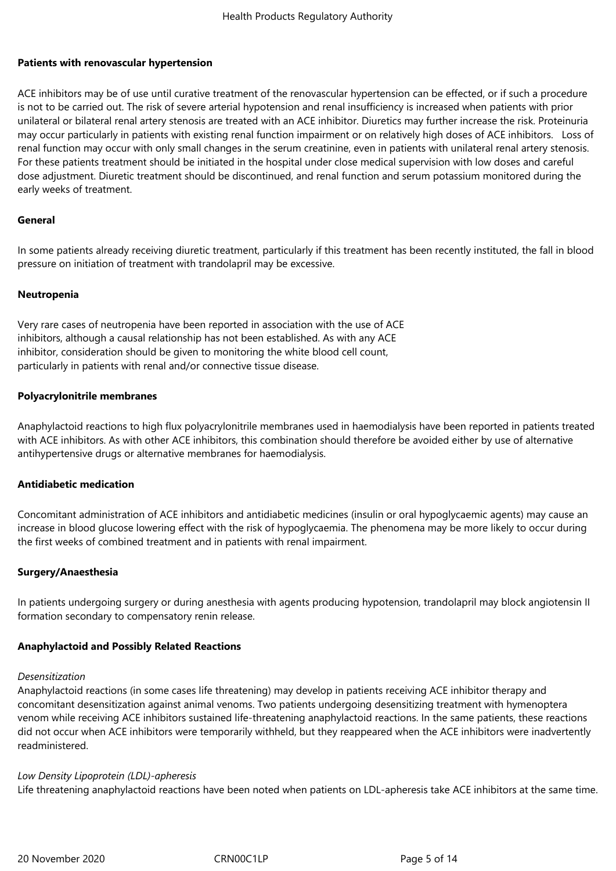#### **Patients with renovascular hypertension**

ACE inhibitors may be of use until curative treatment of the renovascular hypertension can be effected, or if such a procedure is not to be carried out. The risk of severe arterial hypotension and renal insufficiency is increased when patients with prior unilateral or bilateral renal artery stenosis are treated with an ACE inhibitor. Diuretics may further increase the risk. Proteinuria may occur particularly in patients with existing renal function impairment or on relatively high doses of ACE inhibitors. Loss of renal function may occur with only small changes in the serum creatinine, even in patients with unilateral renal artery stenosis. For these patients treatment should be initiated in the hospital under close medical supervision with low doses and careful dose adjustment. Diuretic treatment should be discontinued, and renal function and serum potassium monitored during the early weeks of treatment.

#### **General**

In some patients already receiving diuretic treatment, particularly if this treatment has been recently instituted, the fall in blood pressure on initiation of treatment with trandolapril may be excessive.

#### **Neutropenia**

Very rare cases of neutropenia have been reported in association with the use of ACE inhibitors, although a causal relationship has not been established. As with any ACE inhibitor, consideration should be given to monitoring the white blood cell count, particularly in patients with renal and/or connective tissue disease.

#### **Polyacrylonitrile membranes**

Anaphylactoid reactions to high flux polyacrylonitrile membranes used in haemodialysis have been reported in patients treated with ACE inhibitors. As with other ACE inhibitors, this combination should therefore be avoided either by use of alternative antihypertensive drugs or alternative membranes for haemodialysis.

#### **Antidiabetic medication**

Concomitant administration of ACE inhibitors and antidiabetic medicines (insulin or oral hypoglycaemic agents) may cause an increase in blood glucose lowering effect with the risk of hypoglycaemia. The phenomena may be more likely to occur during the first weeks of combined treatment and in patients with renal impairment.

#### **Surgery/Anaesthesia**

In patients undergoing surgery or during anesthesia with agents producing hypotension, trandolapril may block angiotensin II formation secondary to compensatory renin release.

#### **Anaphylactoid and Possibly Related Reactions**

#### *Desensitization*

Anaphylactoid reactions (in some cases life threatening) may develop in patients receiving ACE inhibitor therapy and concomitant desensitization against animal venoms. Two patients undergoing desensitizing treatment with hymenoptera venom while receiving ACE inhibitors sustained life-threatening anaphylactoid reactions. In the same patients, these reactions did not occur when ACE inhibitors were temporarily withheld, but they reappeared when the ACE inhibitors were inadvertently readministered.

#### *Low Density Lipoprotein (LDL)-apheresis*

Life threatening anaphylactoid reactions have been noted when patients on LDL-apheresis take ACE inhibitors at the same time.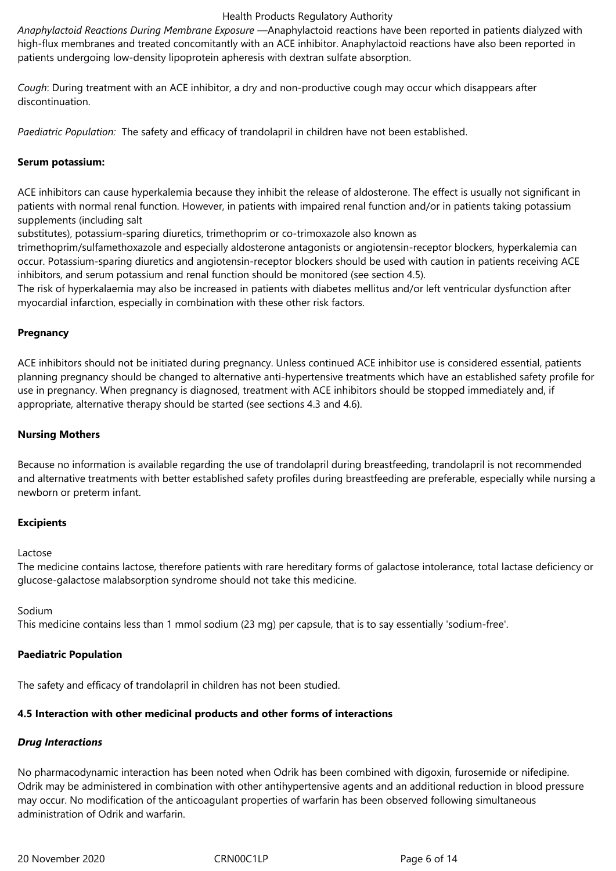*Anaphylactoid Reactions During Membrane Exposure* —Anaphylactoid reactions have been reported in patients dialyzed with high-flux membranes and treated concomitantly with an ACE inhibitor. Anaphylactoid reactions have also been reported in patients undergoing low-density lipoprotein apheresis with dextran sulfate absorption.

*Cough*: During treatment with an ACE inhibitor, a dry and non-productive cough may occur which disappears after discontinuation.

*Paediatric Population:*  The safety and efficacy of trandolapril in children have not been established.

# **Serum potassium:**

ACE inhibitors can cause hyperkalemia because they inhibit the release of aldosterone. The effect is usually not significant in patients with normal renal function. However, in patients with impaired renal function and/or in patients taking potassium supplements (including salt

substitutes), potassium-sparing diuretics, trimethoprim or co-trimoxazole also known as

trimethoprim/sulfamethoxazole and especially aldosterone antagonists or angiotensin-receptor blockers, hyperkalemia can occur. Potassium-sparing diuretics and angiotensin-receptor blockers should be used with caution in patients receiving ACE inhibitors, and serum potassium and renal function should be monitored (see section 4.5).

The risk of hyperkalaemia may also be increased in patients with diabetes mellitus and/or left ventricular dysfunction after myocardial infarction, especially in combination with these other risk factors.

# **Pregnancy**

ACE inhibitors should not be initiated during pregnancy. Unless continued ACE inhibitor use is considered essential, patients planning pregnancy should be changed to alternative anti-hypertensive treatments which have an established safety profile for use in pregnancy. When pregnancy is diagnosed, treatment with ACE inhibitors should be stopped immediately and, if appropriate, alternative therapy should be started (see sections 4.3 and 4.6).

# **Nursing Mothers**

Because no information is available regarding the use of trandolapril during breastfeeding, trandolapril is not recommended and alternative treatments with better established safety profiles during breastfeeding are preferable, especially while nursing a newborn or preterm infant.

#### **Excipients**

#### Lactose

The medicine contains lactose, therefore patients with rare hereditary forms of galactose intolerance, total lactase deficiency or glucose-galactose malabsorption syndrome should not take this medicine.

Sodium

This medicine contains less than 1 mmol sodium (23 mg) per capsule, that is to say essentially 'sodium-free'.

#### **Paediatric Population**

The safety and efficacy of trandolapril in children has not been studied.

# **4.5 Interaction with other medicinal products and other forms of interactions**

# *Drug Interactions*

No pharmacodynamic interaction has been noted when Odrik has been combined with digoxin, furosemide or nifedipine. Odrik may be administered in combination with other antihypertensive agents and an additional reduction in blood pressure may occur. No modification of the anticoagulant properties of warfarin has been observed following simultaneous administration of Odrik and warfarin.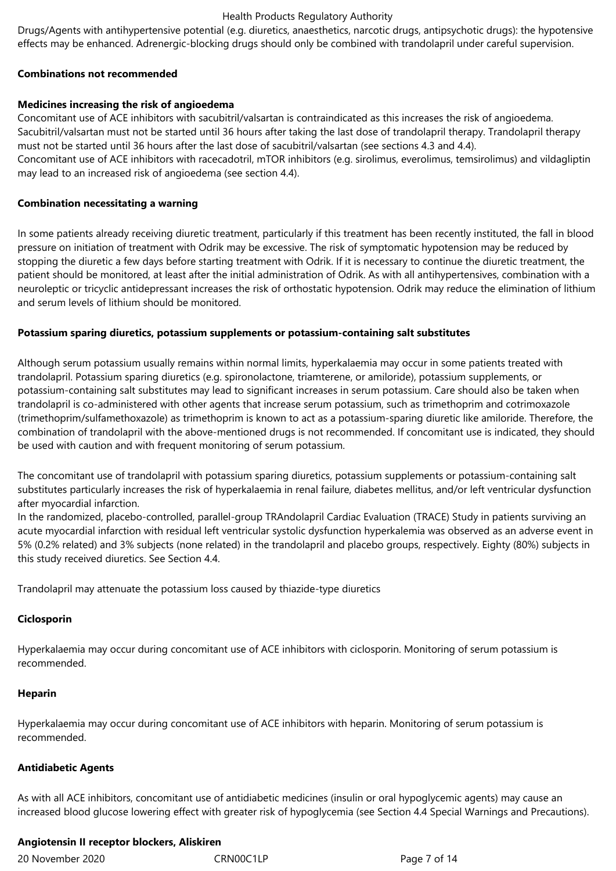Drugs/Agents with antihypertensive potential (e.g. diuretics, anaesthetics, narcotic drugs, antipsychotic drugs): the hypotensive effects may be enhanced. Adrenergic-blocking drugs should only be combined with trandolapril under careful supervision.

#### **Combinations not recommended**

# **Medicines increasing the risk of angioedema**

Concomitant use of ACE inhibitors with sacubitril/valsartan is contraindicated as this increases the risk of angioedema. Sacubitril/valsartan must not be started until 36 hours after taking the last dose of trandolapril therapy. Trandolapril therapy must not be started until 36 hours after the last dose of sacubitril/valsartan (see sections 4.3 and 4.4). Concomitant use of ACE inhibitors with racecadotril, mTOR inhibitors (e.g. sirolimus, everolimus, temsirolimus) and vildagliptin may lead to an increased risk of angioedema (see section 4.4).

## **Combination necessitating a warning**

In some patients already receiving diuretic treatment, particularly if this treatment has been recently instituted, the fall in blood pressure on initiation of treatment with Odrik may be excessive. The risk of symptomatic hypotension may be reduced by stopping the diuretic a few days before starting treatment with Odrik. If it is necessary to continue the diuretic treatment, the patient should be monitored, at least after the initial administration of Odrik. As with all antihypertensives, combination with a neuroleptic or tricyclic antidepressant increases the risk of orthostatic hypotension. Odrik may reduce the elimination of lithium and serum levels of lithium should be monitored.

# **Potassium sparing diuretics, potassium supplements or potassium-containing salt substitutes**

Although serum potassium usually remains within normal limits, hyperkalaemia may occur in some patients treated with trandolapril. Potassium sparing diuretics (e.g. spironolactone, triamterene, or amiloride), potassium supplements, or potassium-containing salt substitutes may lead to significant increases in serum potassium. Care should also be taken when trandolapril is co-administered with other agents that increase serum potassium, such as trimethoprim and cotrimoxazole (trimethoprim/sulfamethoxazole) as trimethoprim is known to act as a potassium-sparing diuretic like amiloride. Therefore, the combination of trandolapril with the above-mentioned drugs is not recommended. If concomitant use is indicated, they should be used with caution and with frequent monitoring of serum potassium.

The concomitant use of trandolapril with potassium sparing diuretics, potassium supplements or potassium-containing salt substitutes particularly increases the risk of hyperkalaemia in renal failure, diabetes mellitus, and/or left ventricular dysfunction after myocardial infarction.

In the randomized, placebo-controlled, parallel-group TRAndolapril Cardiac Evaluation (TRACE) Study in patients surviving an acute myocardial infarction with residual left ventricular systolic dysfunction hyperkalemia was observed as an adverse event in 5% (0.2% related) and 3% subjects (none related) in the trandolapril and placebo groups, respectively. Eighty (80%) subjects in this study received diuretics. See Section 4.4.

Trandolapril may attenuate the potassium loss caused by thiazide-type diuretics

# **Ciclosporin**

Hyperkalaemia may occur during concomitant use of ACE inhibitors with ciclosporin. Monitoring of serum potassium is recommended.

#### **Heparin**

Hyperkalaemia may occur during concomitant use of ACE inhibitors with heparin. Monitoring of serum potassium is recommended.

# **Antidiabetic Agents**

As with all ACE inhibitors, concomitant use of antidiabetic medicines (insulin or oral hypoglycemic agents) may cause an increased blood glucose lowering effect with greater risk of hypoglycemia (see Section 4.4 Special Warnings and Precautions).

# **Angiotensin II receptor blockers, Aliskiren**

20 November 2020 **CRNOOC1LP CRNOOC1LP** Page 7 of 14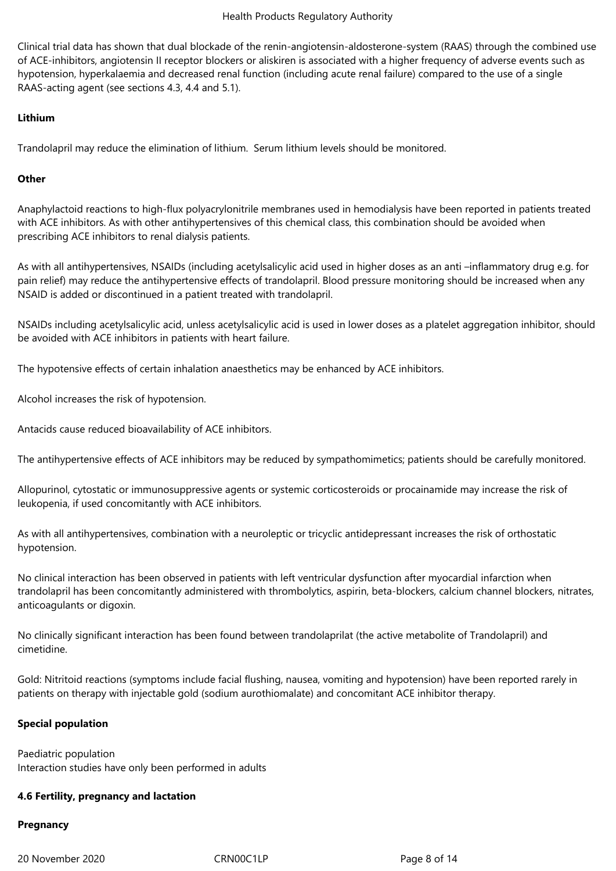Clinical trial data has shown that dual blockade of the renin-angiotensin-aldosterone-system (RAAS) through the combined use of ACE-inhibitors, angiotensin II receptor blockers or aliskiren is associated with a higher frequency of adverse events such as hypotension, hyperkalaemia and decreased renal function (including acute renal failure) compared to the use of a single RAAS-acting agent (see sections 4.3, 4.4 and 5.1).

# **Lithium**

Trandolapril may reduce the elimination of lithium. Serum lithium levels should be monitored.

# **Other**

Anaphylactoid reactions to high-flux polyacrylonitrile membranes used in hemodialysis have been reported in patients treated with ACE inhibitors. As with other antihypertensives of this chemical class, this combination should be avoided when prescribing ACE inhibitors to renal dialysis patients.

As with all antihypertensives, NSAIDs (including acetylsalicylic acid used in higher doses as an anti –inflammatory drug e.g. for pain relief) may reduce the antihypertensive effects of trandolapril. Blood pressure monitoring should be increased when any NSAID is added or discontinued in a patient treated with trandolapril.

NSAIDs including acetylsalicylic acid, unless acetylsalicylic acid is used in lower doses as a platelet aggregation inhibitor, should be avoided with ACE inhibitors in patients with heart failure.

The hypotensive effects of certain inhalation anaesthetics may be enhanced by ACE inhibitors.

Alcohol increases the risk of hypotension.

Antacids cause reduced bioavailability of ACE inhibitors.

The antihypertensive effects of ACE inhibitors may be reduced by sympathomimetics; patients should be carefully monitored.

Allopurinol, cytostatic or immunosuppressive agents or systemic corticosteroids or procainamide may increase the risk of leukopenia, if used concomitantly with ACE inhibitors.

As with all antihypertensives, combination with a neuroleptic or tricyclic antidepressant increases the risk of orthostatic hypotension.

No clinical interaction has been observed in patients with left ventricular dysfunction after myocardial infarction when trandolapril has been concomitantly administered with thrombolytics, aspirin, beta-blockers, calcium channel blockers, nitrates, anticoagulants or digoxin.

No clinically significant interaction has been found between trandolaprilat (the active metabolite of Trandolapril) and cimetidine.

Gold: Nitritoid reactions (symptoms include facial flushing, nausea, vomiting and hypotension) have been reported rarely in patients on therapy with injectable gold (sodium aurothiomalate) and concomitant ACE inhibitor therapy.

#### **Special population**

Paediatric population Interaction studies have only been performed in adults

#### **4.6 Fertility, pregnancy and lactation**

#### **Pregnancy**

20 November 2020 **CRNOOC1LP** CRNOOC1LP Page 8 of 14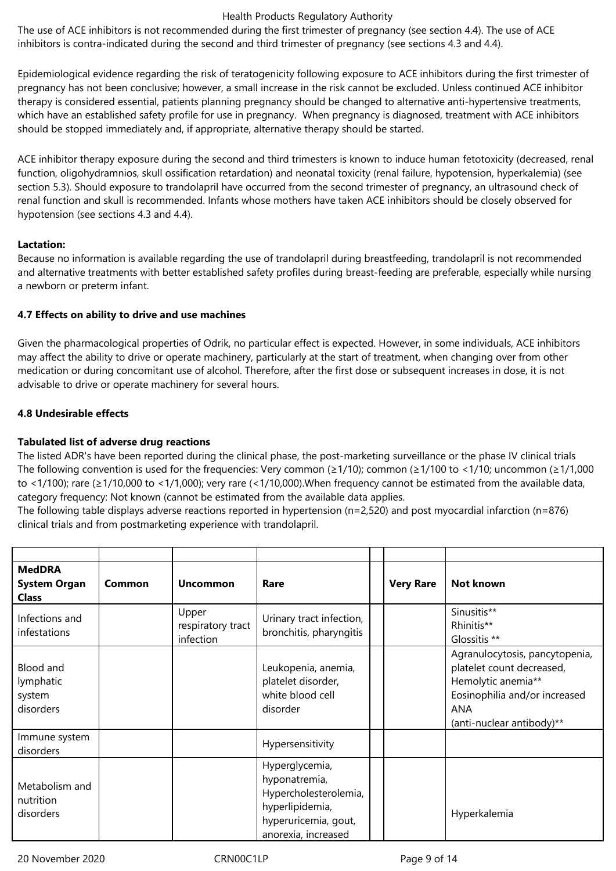The use of ACE inhibitors is not recommended during the first trimester of pregnancy (see section 4.4). The use of ACE inhibitors is contra-indicated during the second and third trimester of pregnancy (see sections 4.3 and 4.4).

Epidemiological evidence regarding the risk of teratogenicity following exposure to ACE inhibitors during the first trimester of pregnancy has not been conclusive; however, a small increase in the risk cannot be excluded. Unless continued ACE inhibitor therapy is considered essential, patients planning pregnancy should be changed to alternative anti-hypertensive treatments, which have an established safety profile for use in pregnancy. When pregnancy is diagnosed, treatment with ACE inhibitors should be stopped immediately and, if appropriate, alternative therapy should be started.

ACE inhibitor therapy exposure during the second and third trimesters is known to induce human fetotoxicity (decreased, renal function, oligohydramnios, skull ossification retardation) and neonatal toxicity (renal failure, hypotension, hyperkalemia) (see section 5.3). Should exposure to trandolapril have occurred from the second trimester of pregnancy, an ultrasound check of renal function and skull is recommended. Infants whose mothers have taken ACE inhibitors should be closely observed for hypotension (see sections 4.3 and 4.4).

# **Lactation:**

Because no information is available regarding the use of trandolapril during breastfeeding, trandolapril is not recommended and alternative treatments with better established safety profiles during breast-feeding are preferable, especially while nursing a newborn or preterm infant.

# **4.7 Effects on ability to drive and use machines**

Given the pharmacological properties of Odrik, no particular effect is expected. However, in some individuals, ACE inhibitors may affect the ability to drive or operate machinery, particularly at the start of treatment, when changing over from other medication or during concomitant use of alcohol. Therefore, after the first dose or subsequent increases in dose, it is not advisable to drive or operate machinery for several hours.

# **4.8 Undesirable effects**

# **Tabulated list of adverse drug reactions**

The listed ADR's have been reported during the clinical phase, the post-marketing surveillance or the phase IV clinical trials The following convention is used for the frequencies: Very common ( $\geq$ 1/10); common ( $\geq$ 1/100 to <1/10; uncommon ( $\geq$ 1/1,000 to <1/100); rare (≥1/10,000 to <1/1,000); very rare (<1/10,000).When frequency cannot be estimated from the available data, category frequency: Not known (cannot be estimated from the available data applies.

The following table displays adverse reactions reported in hypertension (n=2,520) and post myocardial infarction (n=876) clinical trials and from postmarketing experience with trandolapril.

| <b>MedDRA</b><br><b>System Organ</b><br><b>Class</b> | <b>Common</b> | <b>Uncommon</b>                         | Rare                                                                                                                       | <b>Very Rare</b> | Not known                                                                                                                                              |
|------------------------------------------------------|---------------|-----------------------------------------|----------------------------------------------------------------------------------------------------------------------------|------------------|--------------------------------------------------------------------------------------------------------------------------------------------------------|
| Infections and<br>infestations                       |               | Upper<br>respiratory tract<br>infection | Urinary tract infection,<br>bronchitis, pharyngitis                                                                        |                  | Sinusitis**<br>Rhinitis**<br>Glossitis **                                                                                                              |
| Blood and<br>lymphatic<br>system<br>disorders        |               |                                         | Leukopenia, anemia,<br>platelet disorder,<br>white blood cell<br>disorder                                                  |                  | Agranulocytosis, pancytopenia,<br>platelet count decreased,<br>Hemolytic anemia**<br>Eosinophilia and/or increased<br>ANA<br>(anti-nuclear antibody)** |
| Immune system<br>disorders                           |               |                                         | Hypersensitivity                                                                                                           |                  |                                                                                                                                                        |
| Metabolism and<br>nutrition<br>disorders             |               |                                         | Hyperglycemia,<br>hyponatremia,<br>Hypercholesterolemia,<br>hyperlipidemia,<br>hyperuricemia, gout,<br>anorexia, increased |                  | Hyperkalemia                                                                                                                                           |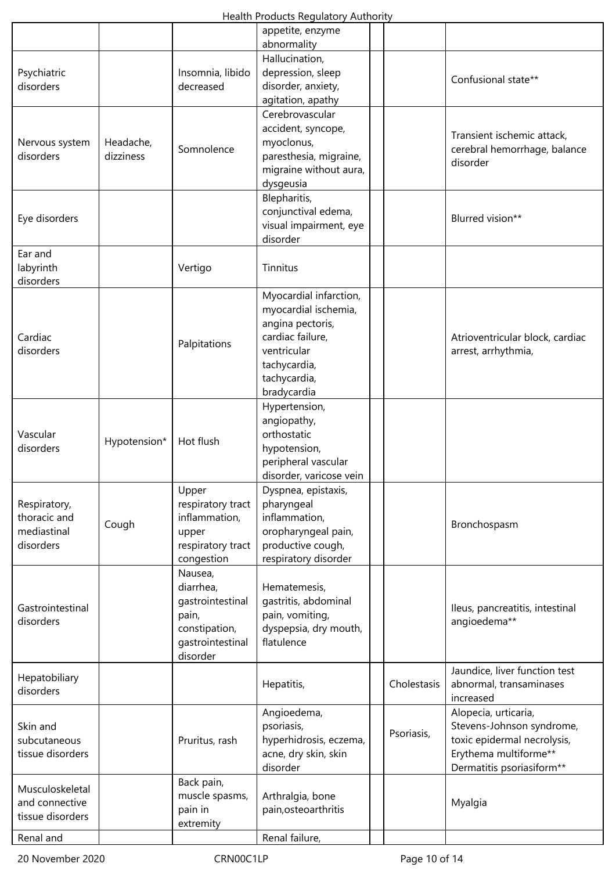|                                                          |                        |                                                                                                    | appetite, enzyme<br>abnormality                                                                                                                      |             |                                                                                                                                        |
|----------------------------------------------------------|------------------------|----------------------------------------------------------------------------------------------------|------------------------------------------------------------------------------------------------------------------------------------------------------|-------------|----------------------------------------------------------------------------------------------------------------------------------------|
| Psychiatric<br>disorders                                 |                        | Insomnia, libido<br>decreased                                                                      | Hallucination,<br>depression, sleep<br>disorder, anxiety,<br>agitation, apathy                                                                       |             | Confusional state**                                                                                                                    |
| Nervous system<br>disorders                              | Headache,<br>dizziness | Somnolence                                                                                         | Cerebrovascular<br>accident, syncope,<br>myoclonus,<br>paresthesia, migraine,<br>migraine without aura,<br>dysgeusia                                 |             | Transient ischemic attack,<br>cerebral hemorrhage, balance<br>disorder                                                                 |
| Eye disorders                                            |                        |                                                                                                    | Blepharitis,<br>conjunctival edema,<br>visual impairment, eye<br>disorder                                                                            |             | Blurred vision**                                                                                                                       |
| Ear and<br>labyrinth<br>disorders                        |                        | Vertigo                                                                                            | Tinnitus                                                                                                                                             |             |                                                                                                                                        |
| Cardiac<br>disorders                                     |                        | Palpitations                                                                                       | Myocardial infarction,<br>myocardial ischemia,<br>angina pectoris,<br>cardiac failure,<br>ventricular<br>tachycardia,<br>tachycardia,<br>bradycardia |             | Atrioventricular block, cardiac<br>arrest, arrhythmia,                                                                                 |
| Vascular<br>disorders                                    | Hypotension*           | Hot flush                                                                                          | Hypertension,<br>angiopathy,<br>orthostatic<br>hypotension,<br>peripheral vascular<br>disorder, varicose vein                                        |             |                                                                                                                                        |
| Respiratory,<br>thoracic and<br>mediastinal<br>disorders | Cough                  | Upper<br>respiratory tract<br>inflammation,<br>upper<br>respiratory tract<br>congestion            | Dyspnea, epistaxis,<br>pharyngeal<br>inflammation,<br>oropharyngeal pain,<br>productive cough,<br>respiratory disorder                               |             | Bronchospasm                                                                                                                           |
| Gastrointestinal<br>disorders                            |                        | Nausea,<br>diarrhea,<br>gastrointestinal<br>pain,<br>constipation,<br>gastrointestinal<br>disorder | Hematemesis,<br>gastritis, abdominal<br>pain, vomiting,<br>dyspepsia, dry mouth,<br>flatulence                                                       |             | Ileus, pancreatitis, intestinal<br>angioedema**                                                                                        |
| Hepatobiliary<br>disorders                               |                        |                                                                                                    | Hepatitis,                                                                                                                                           | Cholestasis | Jaundice, liver function test<br>abnormal, transaminases<br>increased                                                                  |
| Skin and<br>subcutaneous<br>tissue disorders             |                        | Pruritus, rash                                                                                     | Angioedema,<br>psoriasis,<br>hyperhidrosis, eczema,<br>acne, dry skin, skin<br>disorder                                                              | Psoriasis,  | Alopecia, urticaria,<br>Stevens-Johnson syndrome,<br>toxic epidermal necrolysis,<br>Erythema multiforme**<br>Dermatitis psoriasiform** |
| Musculoskeletal<br>and connective<br>tissue disorders    |                        | Back pain,<br>muscle spasms,<br>pain in<br>extremity                                               | Arthralgia, bone<br>pain, osteo arthritis                                                                                                            |             | Myalgia                                                                                                                                |
| Renal and                                                |                        |                                                                                                    | Renal failure,                                                                                                                                       |             |                                                                                                                                        |

20 November 2020 **CRN00C1LP** CRNOOC1LP Page 10 of 14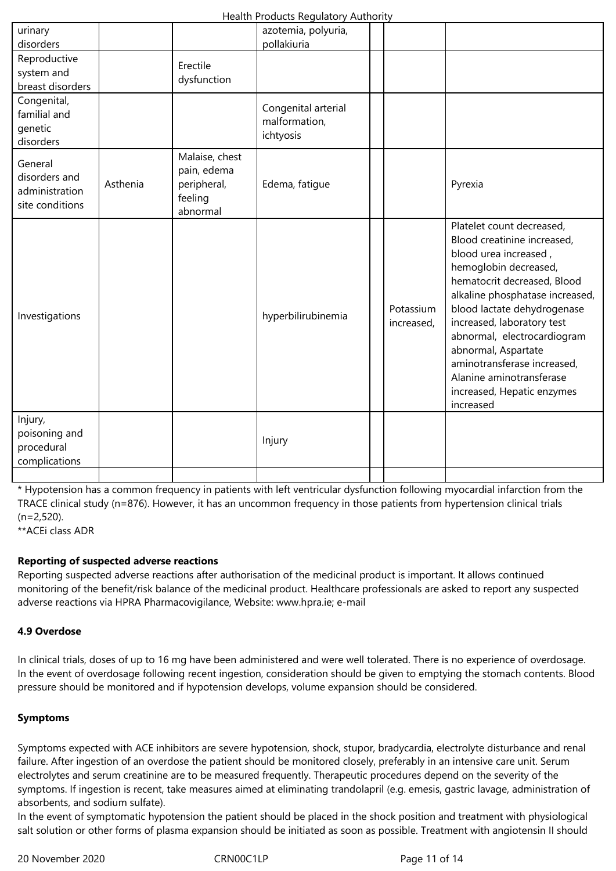|                                                               |          |                                                                     | Health Products Regulatory Authority              |                         |                                                                                                                                                                                                                                                                                                                                                                                                       |
|---------------------------------------------------------------|----------|---------------------------------------------------------------------|---------------------------------------------------|-------------------------|-------------------------------------------------------------------------------------------------------------------------------------------------------------------------------------------------------------------------------------------------------------------------------------------------------------------------------------------------------------------------------------------------------|
| urinary<br>disorders                                          |          |                                                                     | azotemia, polyuria,<br>pollakiuria                |                         |                                                                                                                                                                                                                                                                                                                                                                                                       |
| Reproductive<br>system and<br>breast disorders                |          | Erectile<br>dysfunction                                             |                                                   |                         |                                                                                                                                                                                                                                                                                                                                                                                                       |
| Congenital,<br>familial and<br>genetic<br>disorders           |          |                                                                     | Congenital arterial<br>malformation,<br>ichtyosis |                         |                                                                                                                                                                                                                                                                                                                                                                                                       |
| General<br>disorders and<br>administration<br>site conditions | Asthenia | Malaise, chest<br>pain, edema<br>peripheral,<br>feeling<br>abnormal | Edema, fatigue                                    |                         | Pyrexia                                                                                                                                                                                                                                                                                                                                                                                               |
| Investigations                                                |          |                                                                     | hyperbilirubinemia                                | Potassium<br>increased, | Platelet count decreased,<br>Blood creatinine increased,<br>blood urea increased,<br>hemoglobin decreased,<br>hematocrit decreased, Blood<br>alkaline phosphatase increased,<br>blood lactate dehydrogenase<br>increased, laboratory test<br>abnormal, electrocardiogram<br>abnormal, Aspartate<br>aminotransferase increased,<br>Alanine aminotransferase<br>increased, Hepatic enzymes<br>increased |
| Injury,<br>poisoning and<br>procedural<br>complications       |          |                                                                     | Injury                                            |                         |                                                                                                                                                                                                                                                                                                                                                                                                       |
|                                                               |          |                                                                     |                                                   |                         |                                                                                                                                                                                                                                                                                                                                                                                                       |

\* Hypotension has a common frequency in patients with left ventricular dysfunction following myocardial infarction from the TRACE clinical study (n=876). However, it has an uncommon frequency in those patients from hypertension clinical trials  $(n=2.520)$ .

\*\*ACEi class ADR

# **Reporting of suspected adverse reactions**

Reporting suspected adverse reactions after authorisation of the medicinal product is important. It allows continued monitoring of the benefit/risk balance of the medicinal product. Healthcare professionals are asked to report any suspected adverse reactions via HPRA Pharmacovigilance, Website: www.hpra.ie; e-mail

# **4.9 Overdose**

In clinical trials, doses of up to 16 mg have been administered and were well tolerated. There is no experience of overdosage. In the event of overdosage following recent ingestion, consideration should be given to emptying the stomach contents. Blood pressure should be monitored and if hypotension develops, volume expansion should be considered.

# **Symptoms**

Symptoms expected with ACE inhibitors are severe hypotension, shock, stupor, bradycardia, electrolyte disturbance and renal failure. After ingestion of an overdose the patient should be monitored closely, preferably in an intensive care unit. Serum electrolytes and serum creatinine are to be measured frequently. Therapeutic procedures depend on the severity of the symptoms. If ingestion is recent, take measures aimed at eliminating trandolapril (e.g. emesis, gastric lavage, administration of absorbents, and sodium sulfate).

In the event of symptomatic hypotension the patient should be placed in the shock position and treatment with physiological salt solution or other forms of plasma expansion should be initiated as soon as possible. Treatment with angiotensin II should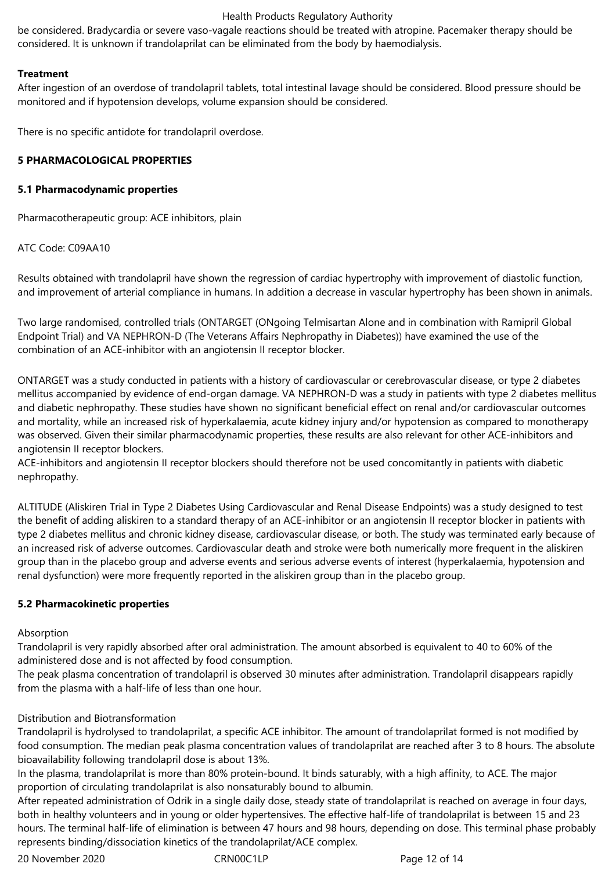be considered. Bradycardia or severe vaso-vagale reactions should be treated with atropine. Pacemaker therapy should be considered. It is unknown if trandolaprilat can be eliminated from the body by haemodialysis.

## **Treatment**

After ingestion of an overdose of trandolapril tablets, total intestinal lavage should be considered. Blood pressure should be monitored and if hypotension develops, volume expansion should be considered.

There is no specific antidote for trandolapril overdose.

# **5 PHARMACOLOGICAL PROPERTIES**

## **5.1 Pharmacodynamic properties**

Pharmacotherapeutic group: ACE inhibitors, plain

# ATC Code: C09AA10

Results obtained with trandolapril have shown the regression of cardiac hypertrophy with improvement of diastolic function, and improvement of arterial compliance in humans. In addition a decrease in vascular hypertrophy has been shown in animals.

Two large randomised, controlled trials (ONTARGET (ONgoing Telmisartan Alone and in combination with Ramipril Global Endpoint Trial) and VA NEPHRON-D (The Veterans Affairs Nephropathy in Diabetes)) have examined the use of the combination of an ACE-inhibitor with an angiotensin II receptor blocker.

ONTARGET was a study conducted in patients with a history of cardiovascular or cerebrovascular disease, or type 2 diabetes mellitus accompanied by evidence of end-organ damage. VA NEPHRON-D was a study in patients with type 2 diabetes mellitus and diabetic nephropathy. These studies have shown no significant beneficial effect on renal and/or cardiovascular outcomes and mortality, while an increased risk of hyperkalaemia, acute kidney injury and/or hypotension as compared to monotherapy was observed. Given their similar pharmacodynamic properties, these results are also relevant for other ACE-inhibitors and angiotensin II receptor blockers.

ACE-inhibitors and angiotensin II receptor blockers should therefore not be used concomitantly in patients with diabetic nephropathy.

ALTITUDE (Aliskiren Trial in Type 2 Diabetes Using Cardiovascular and Renal Disease Endpoints) was a study designed to test the benefit of adding aliskiren to a standard therapy of an ACE-inhibitor or an angiotensin II receptor blocker in patients with type 2 diabetes mellitus and chronic kidney disease, cardiovascular disease, or both. The study was terminated early because of an increased risk of adverse outcomes. Cardiovascular death and stroke were both numerically more frequent in the aliskiren group than in the placebo group and adverse events and serious adverse events of interest (hyperkalaemia, hypotension and renal dysfunction) were more frequently reported in the aliskiren group than in the placebo group.

# **5.2 Pharmacokinetic properties**

#### Absorption

Trandolapril is very rapidly absorbed after oral administration. The amount absorbed is equivalent to 40 to 60% of the administered dose and is not affected by food consumption.

The peak plasma concentration of trandolapril is observed 30 minutes after administration. Trandolapril disappears rapidly from the plasma with a half-life of less than one hour.

# Distribution and Biotransformation

Trandolapril is hydrolysed to trandolaprilat, a specific ACE inhibitor. The amount of trandolaprilat formed is not modified by food consumption. The median peak plasma concentration values of trandolaprilat are reached after 3 to 8 hours. The absolute bioavailability following trandolapril dose is about 13%.

In the plasma, trandolaprilat is more than 80% protein-bound. It binds saturably, with a high affinity, to ACE. The major proportion of circulating trandolaprilat is also nonsaturably bound to albumin.

After repeated administration of Odrik in a single daily dose, steady state of trandolaprilat is reached on average in four days, both in healthy volunteers and in young or older hypertensives. The effective half-life of trandolaprilat is between 15 and 23 hours. The terminal half-life of elimination is between 47 hours and 98 hours, depending on dose. This terminal phase probably represents binding/dissociation kinetics of the trandolaprilat/ACE complex.

20 November 2020 **CRNOOC1LP** CRNOOC1LP Page 12 of 14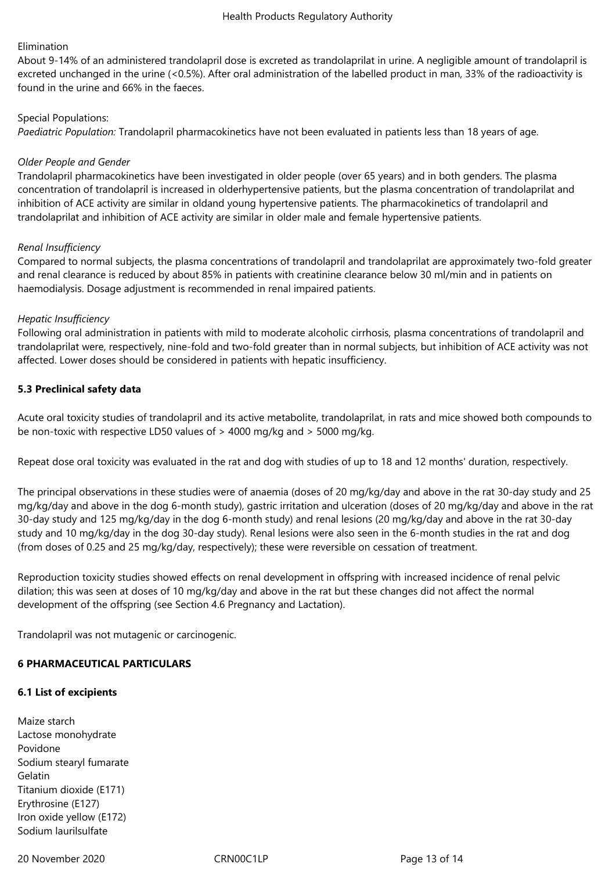# Elimination

About 9-14% of an administered trandolapril dose is excreted as trandolaprilat in urine. A negligible amount of trandolapril is excreted unchanged in the urine (<0.5%). After oral administration of the labelled product in man, 33% of the radioactivity is found in the urine and 66% in the faeces.

# Special Populations:

*Paediatric Population:* Trandolapril pharmacokinetics have not been evaluated in patients less than 18 years of age.

# *Older People and Gender*

Trandolapril pharmacokinetics have been investigated in older people (over 65 years) and in both genders. The plasma concentration of trandolapril is increased in olderhypertensive patients, but the plasma concentration of trandolaprilat and inhibition of ACE activity are similar in oldand young hypertensive patients. The pharmacokinetics of trandolapril and trandolaprilat and inhibition of ACE activity are similar in older male and female hypertensive patients.

# *Renal Insufficiency*

Compared to normal subjects, the plasma concentrations of trandolapril and trandolaprilat are approximately two-fold greater and renal clearance is reduced by about 85% in patients with creatinine clearance below 30 ml/min and in patients on haemodialysis. Dosage adjustment is recommended in renal impaired patients.

# *Hepatic Insufficiency*

Following oral administration in patients with mild to moderate alcoholic cirrhosis, plasma concentrations of trandolapril and trandolaprilat were, respectively, nine-fold and two-fold greater than in normal subjects, but inhibition of ACE activity was not affected. Lower doses should be considered in patients with hepatic insufficiency.

# **5.3 Preclinical safety data**

Acute oral toxicity studies of trandolapril and its active metabolite, trandolaprilat, in rats and mice showed both compounds to be non-toxic with respective LD50 values of > 4000 mg/kg and > 5000 mg/kg.

Repeat dose oral toxicity was evaluated in the rat and dog with studies of up to 18 and 12 months' duration, respectively.

The principal observations in these studies were of anaemia (doses of 20 mg/kg/day and above in the rat 30-day study and 25 mg/kg/day and above in the dog 6-month study), gastric irritation and ulceration (doses of 20 mg/kg/day and above in the rat 30-day study and 125 mg/kg/day in the dog 6-month study) and renal lesions (20 mg/kg/day and above in the rat 30-day study and 10 mg/kg/day in the dog 30-day study). Renal lesions were also seen in the 6-month studies in the rat and dog (from doses of 0.25 and 25 mg/kg/day, respectively); these were reversible on cessation of treatment.

Reproduction toxicity studies showed effects on renal development in offspring with increased incidence of renal pelvic dilation; this was seen at doses of 10 mg/kg/day and above in the rat but these changes did not affect the normal development of the offspring (see Section 4.6 Pregnancy and Lactation).

Trandolapril was not mutagenic or carcinogenic.

# **6 PHARMACEUTICAL PARTICULARS**

#### **6.1 List of excipients**

Maize starch Lactose monohydrate Povidone Sodium stearyl fumarate Gelatin Titanium dioxide (E171) Erythrosine (E127) Iron oxide yellow (E172) Sodium laurilsulfate

20 November 2020 **CRNOOC1LP** CRNOOC1LP Page 13 of 14